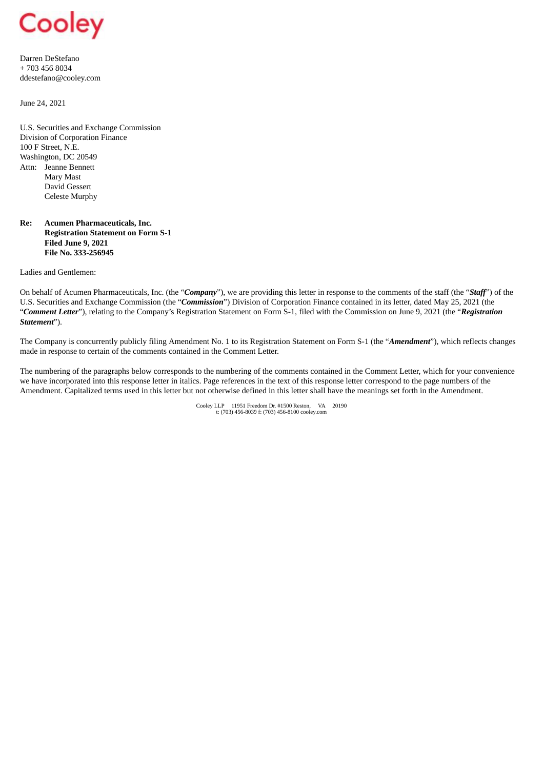

Darren DeStefano + 703 456 8034 ddestefano@cooley.com

June 24, 2021

U.S. Securities and Exchange Commission Division of Corporation Finance 100 F Street, N.E. Washington, DC 20549 Attn: Jeanne Bennett Mary Mast David Gessert Celeste Murphy

## **Re: Acumen Pharmaceuticals, Inc. Registration Statement on Form S-1 Filed June 9, 2021 File No. 333-256945**

Ladies and Gentlemen:

On behalf of Acumen Pharmaceuticals, Inc. (the "*Company*"), we are providing this letter in response to the comments of the staff (the "*Staff*") of the U.S. Securities and Exchange Commission (the "*Commission*") Division of Corporation Finance contained in its letter, dated May 25, 2021 (the "*Comment Letter*"), relating to the Company's Registration Statement on Form S-1, filed with the Commission on June 9, 2021 (the "*Registration Statement*").

The Company is concurrently publicly filing Amendment No. 1 to its Registration Statement on Form S-1 (the "*Amendment*"), which reflects changes made in response to certain of the comments contained in the Comment Letter.

The numbering of the paragraphs below corresponds to the numbering of the comments contained in the Comment Letter, which for your convenience we have incorporated into this response letter in italics. Page references in the text of this response letter correspond to the page numbers of the Amendment. Capitalized terms used in this letter but not otherwise defined in this letter shall have the meanings set forth in the Amendment.

Cooley LLP 11951 Freedom Dr. #1500 Reston, VA 20190 t: (703) 456-8039 f: (703) 456-8100 cooley.com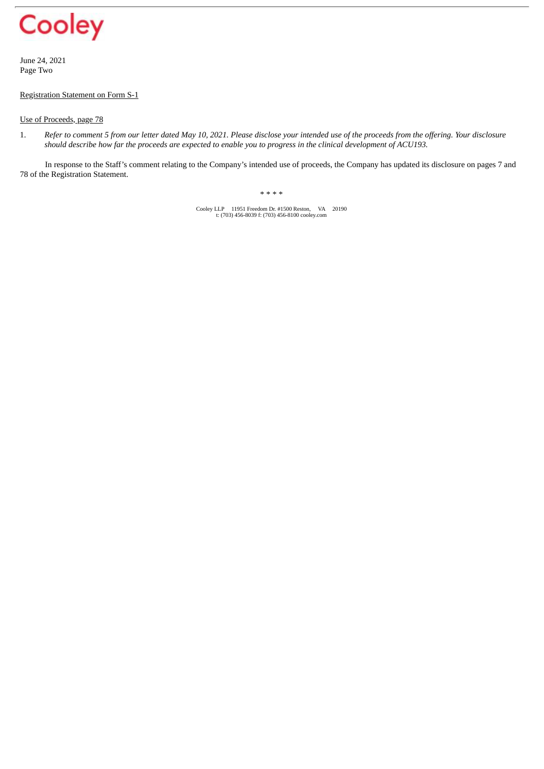

June 24, 2021 Page Two

## Registration Statement on Form S-1

## Use of Proceeds, page 78

1. Refer to comment 5 from our letter dated May 10, 2021. Please disclose your intended use of the proceeds from the offering. Your disclosure should describe how far the proceeds are expected to enable you to progress in the clinical development of ACU193.

In response to the Staff's comment relating to the Company's intended use of proceeds, the Company has updated its disclosure on pages 7 and 78 of the Registration Statement.

\* \* \* \*

Cooley LLP 11951 Freedom Dr. #1500 Reston, VA 20190 t: (703) 456-8039 f: (703) 456-8100 cooley.com